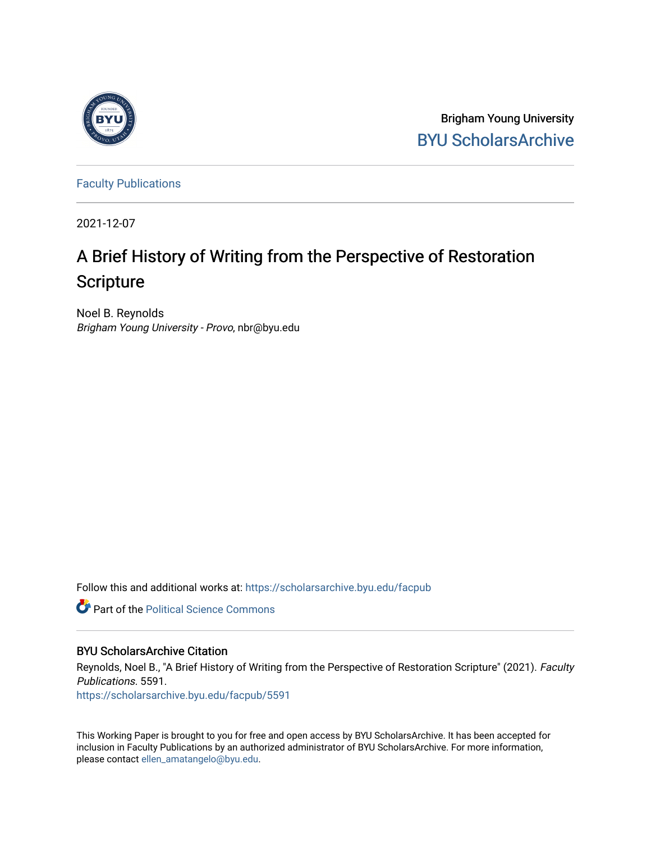

Brigham Young University [BYU ScholarsArchive](https://scholarsarchive.byu.edu/) 

[Faculty Publications](https://scholarsarchive.byu.edu/facpub)

2021-12-07

# A Brief History of Writing from the Perspective of Restoration **Scripture**

Noel B. Reynolds Brigham Young University - Provo, nbr@byu.edu

Follow this and additional works at: [https://scholarsarchive.byu.edu/facpub](https://scholarsarchive.byu.edu/facpub?utm_source=scholarsarchive.byu.edu%2Ffacpub%2F5591&utm_medium=PDF&utm_campaign=PDFCoverPages) 

**Part of the Political Science Commons** 

#### BYU ScholarsArchive Citation

Reynolds, Noel B., "A Brief History of Writing from the Perspective of Restoration Scripture" (2021). Faculty Publications. 5591.

[https://scholarsarchive.byu.edu/facpub/5591](https://scholarsarchive.byu.edu/facpub/5591?utm_source=scholarsarchive.byu.edu%2Ffacpub%2F5591&utm_medium=PDF&utm_campaign=PDFCoverPages)

This Working Paper is brought to you for free and open access by BYU ScholarsArchive. It has been accepted for inclusion in Faculty Publications by an authorized administrator of BYU ScholarsArchive. For more information, please contact [ellen\\_amatangelo@byu.edu](mailto:ellen_amatangelo@byu.edu).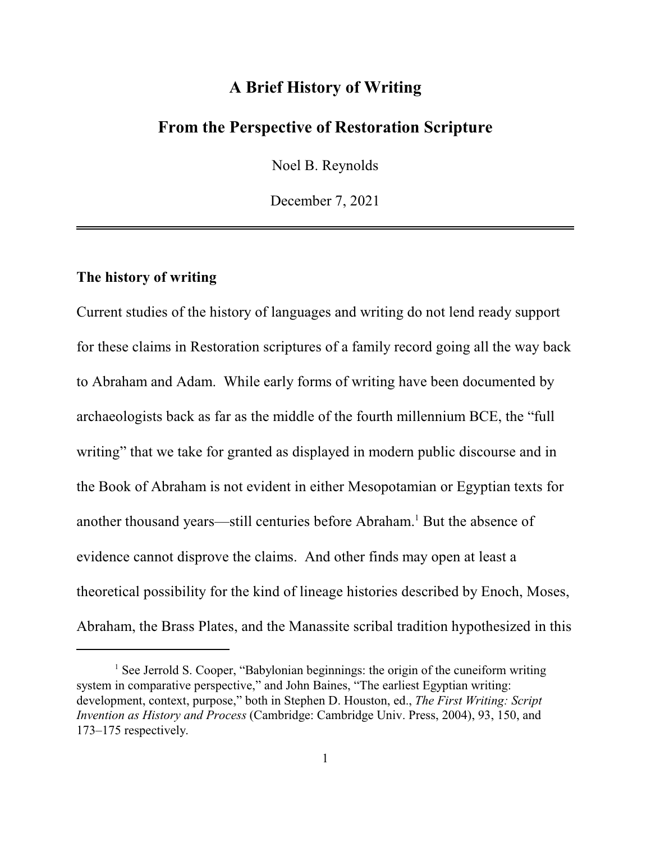# **A Brief History of Writing**

# **From the Perspective of Restoration Scripture**

Noel B. Reynolds

December 7, 2021

## **The history of writing**

Current studies of the history of languages and writing do not lend ready support for these claims in Restoration scriptures of a family record going all the way back to Abraham and Adam. While early forms of writing have been documented by archaeologists back as far as the middle of the fourth millennium BCE, the "full writing" that we take for granted as displayed in modern public discourse and in the Book of Abraham is not evident in either Mesopotamian or Egyptian texts for another thousand years—still centuries before Abraham. <sup>1</sup> But the absence of evidence cannot disprove the claims. And other finds may open at least a theoretical possibility for the kind of lineage histories described by Enoch, Moses, Abraham, the Brass Plates, and the Manassite scribal tradition hypothesized in this

<sup>&</sup>lt;sup>1</sup> See Jerrold S. Cooper, "Babylonian beginnings: the origin of the cuneiform writing system in comparative perspective," and John Baines, "The earliest Egyptian writing: development, context, purpose," both in Stephen D. Houston, ed., *The First Writing: Script Invention as History and Process* (Cambridge: Cambridge Univ. Press, 2004), 93, 150, and 173–175 respectively.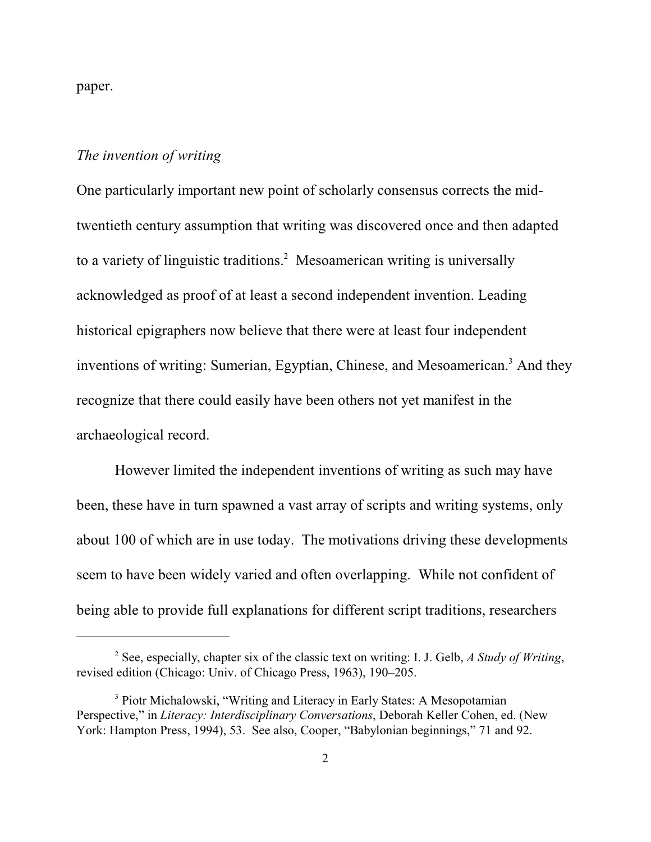paper.

#### *The invention of writing*

One particularly important new point of scholarly consensus corrects the midtwentieth century assumption that writing was discovered once and then adapted to a variety of linguistic traditions. 2 Mesoamerican writing is universally acknowledged as proof of at least a second independent invention. Leading historical epigraphers now believe that there were at least four independent inventions of writing: Sumerian, Egyptian, Chinese, and Mesoamerican. 3 And they recognize that there could easily have been others not yet manifest in the archaeological record.

However limited the independent inventions of writing as such may have been, these have in turn spawned a vast array of scripts and writing systems, only about 100 of which are in use today. The motivations driving these developments seem to have been widely varied and often overlapping. While not confident of being able to provide full explanations for different script traditions, researchers

<sup>2</sup> See, especially, chapter six of the classic text on writing: I. J. Gelb, *A Study of Writing*, revised edition (Chicago: Univ. of Chicago Press, 1963), 190–205.

<sup>&</sup>lt;sup>3</sup> Piotr Michalowski, "Writing and Literacy in Early States: A Mesopotamian Perspective," in *Literacy: Interdisciplinary Conversations*, Deborah Keller Cohen, ed. (New York: Hampton Press, 1994), 53. See also, Cooper, "Babylonian beginnings," 71 and 92.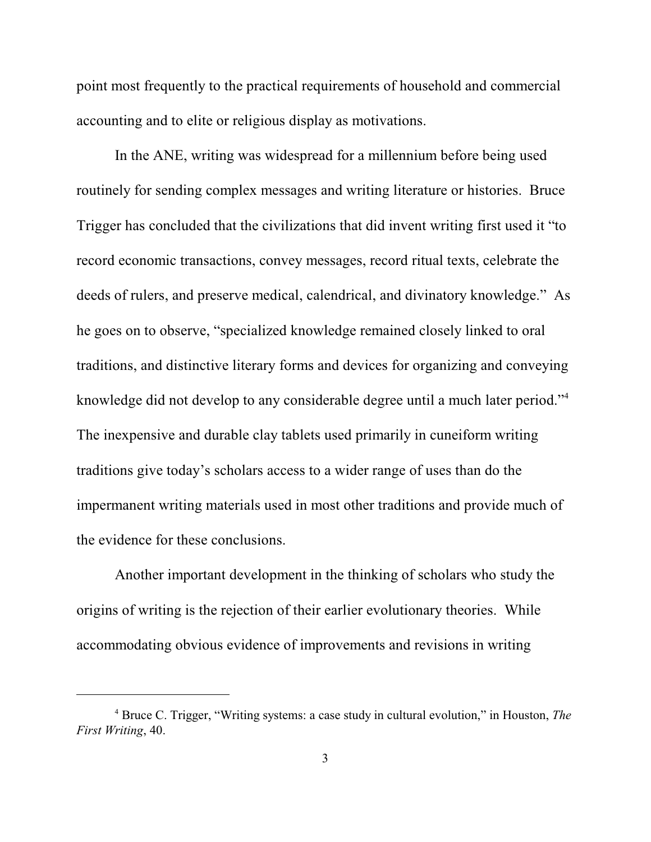point most frequently to the practical requirements of household and commercial accounting and to elite or religious display as motivations.

In the ANE, writing was widespread for a millennium before being used routinely for sending complex messages and writing literature or histories. Bruce Trigger has concluded that the civilizations that did invent writing first used it "to record economic transactions, convey messages, record ritual texts, celebrate the deeds of rulers, and preserve medical, calendrical, and divinatory knowledge." As he goes on to observe, "specialized knowledge remained closely linked to oral traditions, and distinctive literary forms and devices for organizing and conveying knowledge did not develop to any considerable degree until a much later period."<sup>4</sup> The inexpensive and durable clay tablets used primarily in cuneiform writing traditions give today's scholars access to a wider range of uses than do the impermanent writing materials used in most other traditions and provide much of the evidence for these conclusions.

Another important development in the thinking of scholars who study the origins of writing is the rejection of their earlier evolutionary theories. While accommodating obvious evidence of improvements and revisions in writing

<sup>4</sup> Bruce C. Trigger, "Writing systems: a case study in cultural evolution," in Houston, *The First Writing*, 40.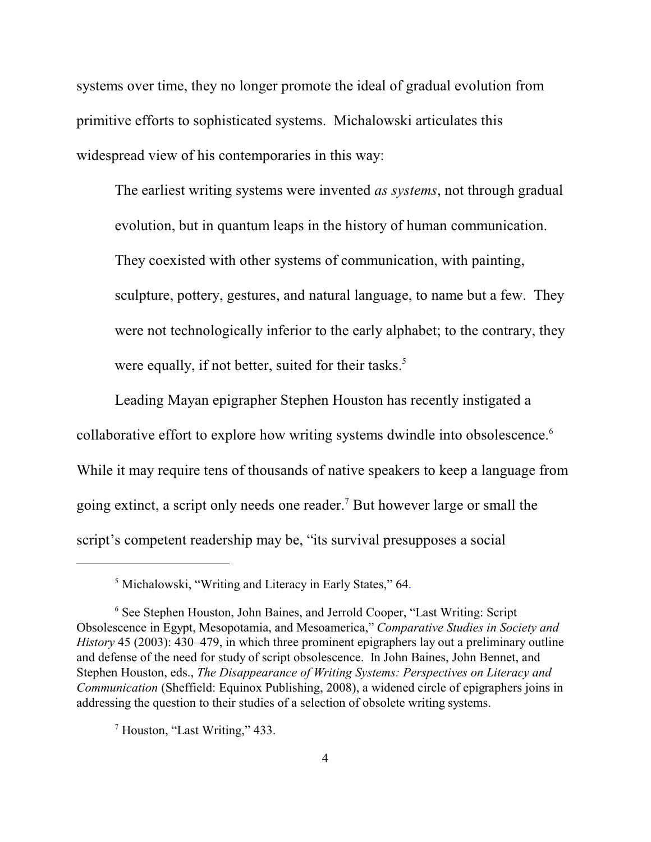systems over time, they no longer promote the ideal of gradual evolution from primitive efforts to sophisticated systems. Michalowski articulates this widespread view of his contemporaries in this way:

The earliest writing systems were invented *as systems*, not through gradual evolution, but in quantum leaps in the history of human communication. They coexisted with other systems of communication, with painting, sculpture, pottery, gestures, and natural language, to name but a few. They were not technologically inferior to the early alphabet; to the contrary, they were equally, if not better, suited for their tasks. 5

Leading Mayan epigrapher Stephen Houston has recently instigated a collaborative effort to explore how writing systems dwindle into obsolescence.<sup>6</sup> While it may require tens of thousands of native speakers to keep a language from going extinct, a script only needs one reader.<sup>7</sup> But however large or small the script's competent readership may be, "its survival presupposes a social

<sup>5</sup> Michalowski, "Writing and Literacy in Early States," 64.

<sup>6</sup> See Stephen Houston, John Baines, and Jerrold Cooper, "Last Writing: Script Obsolescence in Egypt, Mesopotamia, and Mesoamerica," *Comparative Studies in Society and History* 45 (2003): 430–479, in which three prominent epigraphers lay out a preliminary outline and defense of the need for study of script obsolescence. In John Baines, John Bennet, and Stephen Houston, eds., *The Disappearance of Writing Systems: Perspectives on Literacy and Communication* (Sheffield: Equinox Publishing, 2008), a widened circle of epigraphers joins in addressing the question to their studies of a selection of obsolete writing systems.

<sup>&</sup>lt;sup>7</sup> Houston, "Last Writing," 433.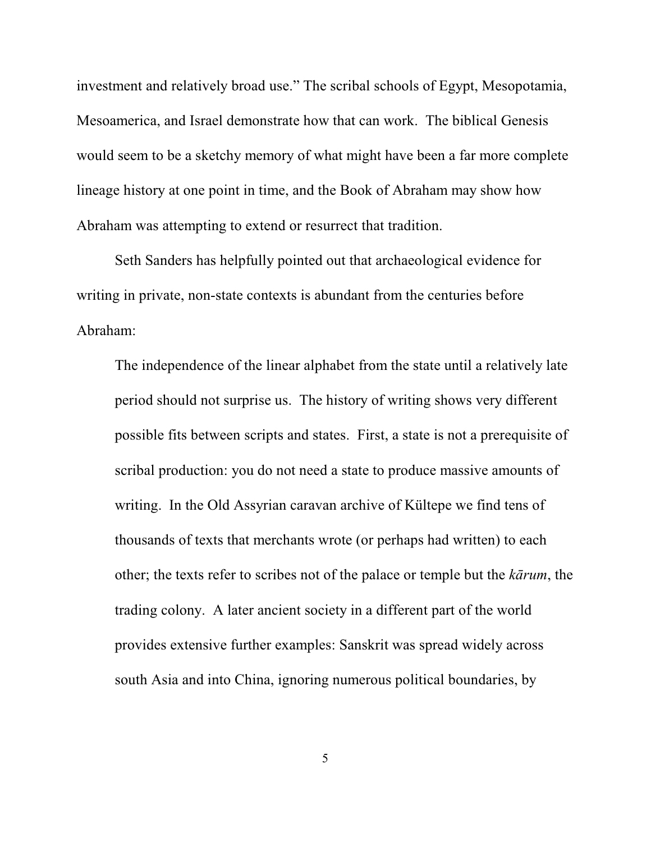investment and relatively broad use." The scribal schools of Egypt, Mesopotamia, Mesoamerica, and Israel demonstrate how that can work. The biblical Genesis would seem to be a sketchy memory of what might have been a far more complete lineage history at one point in time, and the Book of Abraham may show how Abraham was attempting to extend or resurrect that tradition.

Seth Sanders has helpfully pointed out that archaeological evidence for writing in private, non-state contexts is abundant from the centuries before Abraham:

The independence of the linear alphabet from the state until a relatively late period should not surprise us. The history of writing shows very different possible fits between scripts and states. First, a state is not a prerequisite of scribal production: you do not need a state to produce massive amounts of writing. In the Old Assyrian caravan archive of Kültepe we find tens of thousands of texts that merchants wrote (or perhaps had written) to each other; the texts refer to scribes not of the palace or temple but the *kârum*, the trading colony. A later ancient society in a different part of the world provides extensive further examples: Sanskrit was spread widely across south Asia and into China, ignoring numerous political boundaries, by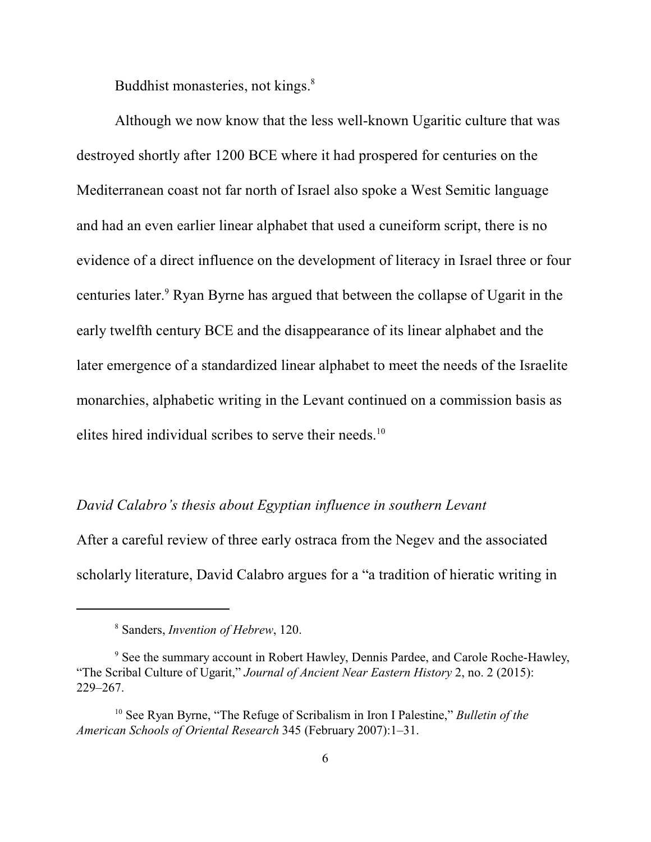Buddhist monasteries, not kings.<sup>8</sup>

Although we now know that the less well-known Ugaritic culture that was destroyed shortly after 1200 BCE where it had prospered for centuries on the Mediterranean coast not far north of Israel also spoke a West Semitic language and had an even earlier linear alphabet that used a cuneiform script, there is no evidence of a direct influence on the development of literacy in Israel three or four centuries later.<sup>9</sup> Ryan Byrne has argued that between the collapse of Ugarit in the early twelfth century BCE and the disappearance of its linear alphabet and the later emergence of a standardized linear alphabet to meet the needs of the Israelite monarchies, alphabetic writing in the Levant continued on a commission basis as elites hired individual scribes to serve their needs.<sup>10</sup>

## *David Calabro's thesis about Egyptian influence in southern Levant*

After a careful review of three early ostraca from the Negev and the associated scholarly literature, David Calabro argues for a "a tradition of hieratic writing in

<sup>8</sup> Sanders, *Invention of Hebrew*, 120.

<sup>9</sup> See the summary account in Robert Hawley, Dennis Pardee, and Carole Roche-Hawley, "The Scribal Culture of Ugarit," *Journal of Ancient Near Eastern History* 2, no. 2 (2015): 229–267.

<sup>&</sup>lt;sup>10</sup> See Ryan Byrne, "The Refuge of Scribalism in Iron I Palestine," Bulletin of the *American Schools of Oriental Research* 345 (February 2007):1–31.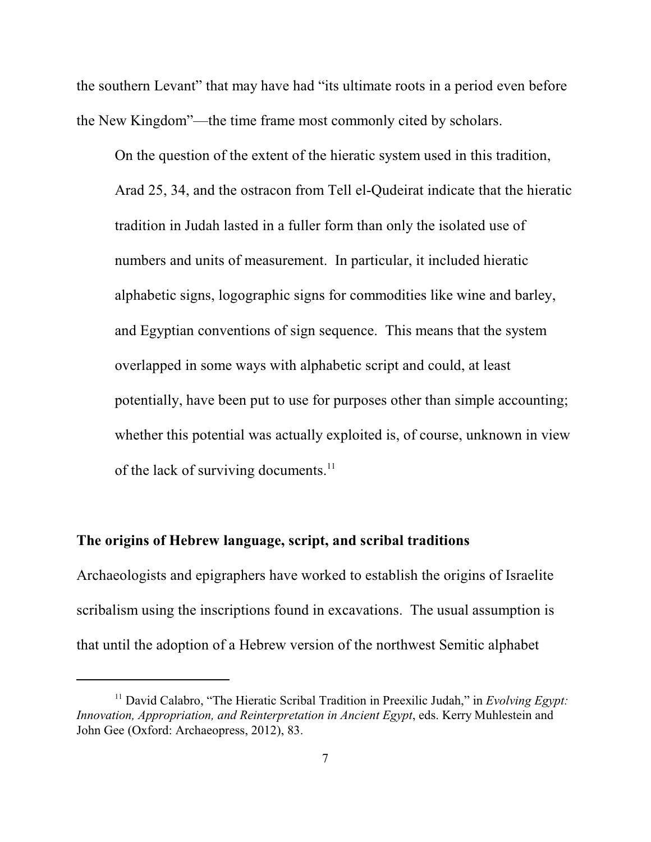the southern Levant" that may have had "its ultimate roots in a period even before the New Kingdom"—the time frame most commonly cited by scholars.

On the question of the extent of the hieratic system used in this tradition, Arad 25, 34, and the ostracon from Tell el-Qudeirat indicate that the hieratic tradition in Judah lasted in a fuller form than only the isolated use of numbers and units of measurement. In particular, it included hieratic alphabetic signs, logographic signs for commodities like wine and barley, and Egyptian conventions of sign sequence. This means that the system overlapped in some ways with alphabetic script and could, at least potentially, have been put to use for purposes other than simple accounting; whether this potential was actually exploited is, of course, unknown in view of the lack of surviving documents.<sup>11</sup>

# **The origins of Hebrew language, script, and scribal traditions**

Archaeologists and epigraphers have worked to establish the origins of Israelite scribalism using the inscriptions found in excavations. The usual assumption is that until the adoption of a Hebrew version of the northwest Semitic alphabet

<sup>&</sup>lt;sup>11</sup> David Calabro, "The Hieratic Scribal Tradition in Preexilic Judah," in *Evolving Egypt: Innovation, Appropriation, and Reinterpretation in Ancient Egypt*, eds. Kerry Muhlestein and John Gee (Oxford: Archaeopress, 2012), 83.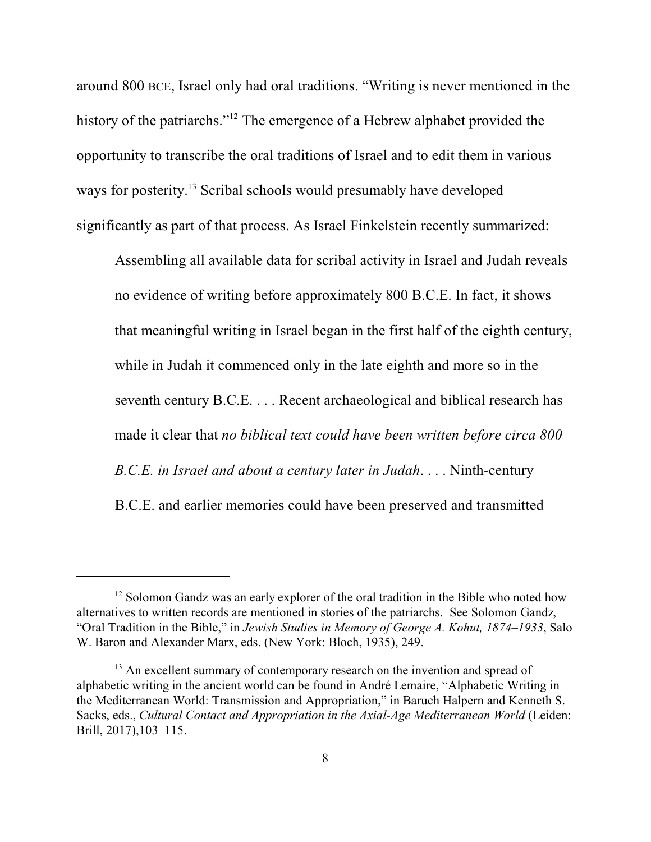around 800 BCE, Israel only had oral traditions. "Writing is never mentioned in the history of the patriarchs."<sup>12</sup> The emergence of a Hebrew alphabet provided the opportunity to transcribe the oral traditions of Israel and to edit them in various ways for posterity.<sup>13</sup> Scribal schools would presumably have developed significantly as part of that process. As Israel Finkelstein recently summarized:

Assembling all available data for scribal activity in Israel and Judah reveals no evidence of writing before approximately 800 B.C.E. In fact, it shows that meaningful writing in Israel began in the first half of the eighth century, while in Judah it commenced only in the late eighth and more so in the seventh century B.C.E. . . . Recent archaeological and biblical research has made it clear that *no biblical text could have been written before circa 800 B.C.E. in Israel and about a century later in Judah*. . . . Ninth-century B.C.E. and earlier memories could have been preserved and transmitted

<sup>&</sup>lt;sup>12</sup> Solomon Gandz was an early explorer of the oral tradition in the Bible who noted how alternatives to written records are mentioned in stories of the patriarchs. See Solomon Gandz, "Oral Tradition in the Bible," in *Jewish Studies in Memory of George A. Kohut, 1874–1933*, Salo W. Baron and Alexander Marx, eds. (New York: Bloch, 1935), 249.

<sup>&</sup>lt;sup>13</sup> An excellent summary of contemporary research on the invention and spread of alphabetic writing in the ancient world can be found in André Lemaire, "Alphabetic Writing in the Mediterranean World: Transmission and Appropriation," in Baruch Halpern and Kenneth S. Sacks, eds., *Cultural Contact and Appropriation in the Axial-Age Mediterranean World* (Leiden: Brill, 2017),103–115.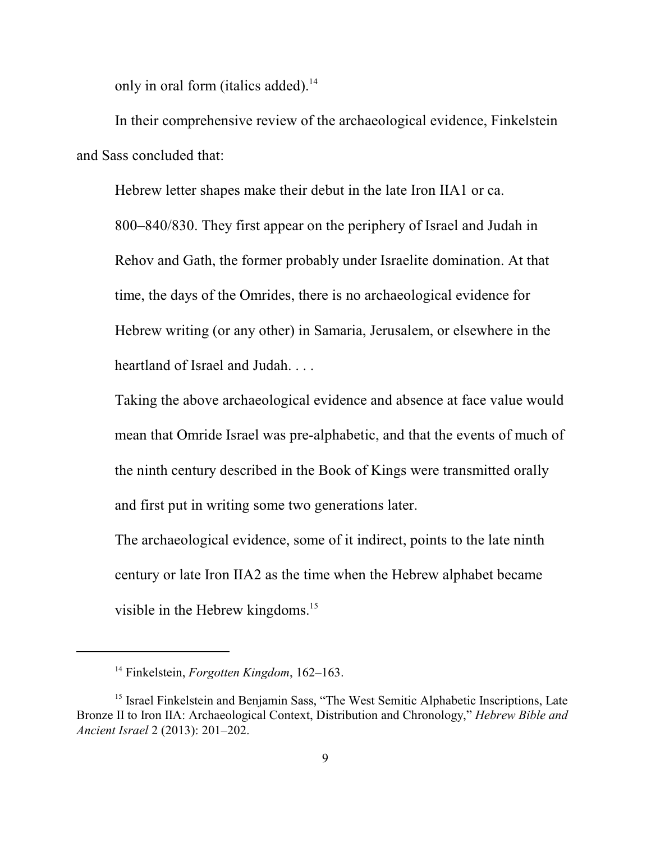only in oral form (italics added).<sup>14</sup>

In their comprehensive review of the archaeological evidence, Finkelstein and Sass concluded that:

Hebrew letter shapes make their debut in the late Iron IIA1 or ca.

800–840/830. They first appear on the periphery of Israel and Judah in Rehov and Gath, the former probably under Israelite domination. At that time, the days of the Omrides, there is no archaeological evidence for Hebrew writing (or any other) in Samaria, Jerusalem, or elsewhere in the heartland of Israel and Judah. . . .

Taking the above archaeological evidence and absence at face value would mean that Omride Israel was pre-alphabetic, and that the events of much of the ninth century described in the Book of Kings were transmitted orally and first put in writing some two generations later.

The archaeological evidence, some of it indirect, points to the late ninth century or late Iron IIA2 as the time when the Hebrew alphabet became visible in the Hebrew kingdoms.<sup>15</sup>

<sup>14</sup> Finkelstein, *Forgotten Kingdom*, 162–163.

<sup>&</sup>lt;sup>15</sup> Israel Finkelstein and Benjamin Sass, "The West Semitic Alphabetic Inscriptions, Late Bronze II to Iron IIA: Archaeological Context, Distribution and Chronology," *Hebrew Bible and Ancient Israel* 2 (2013): 201–202.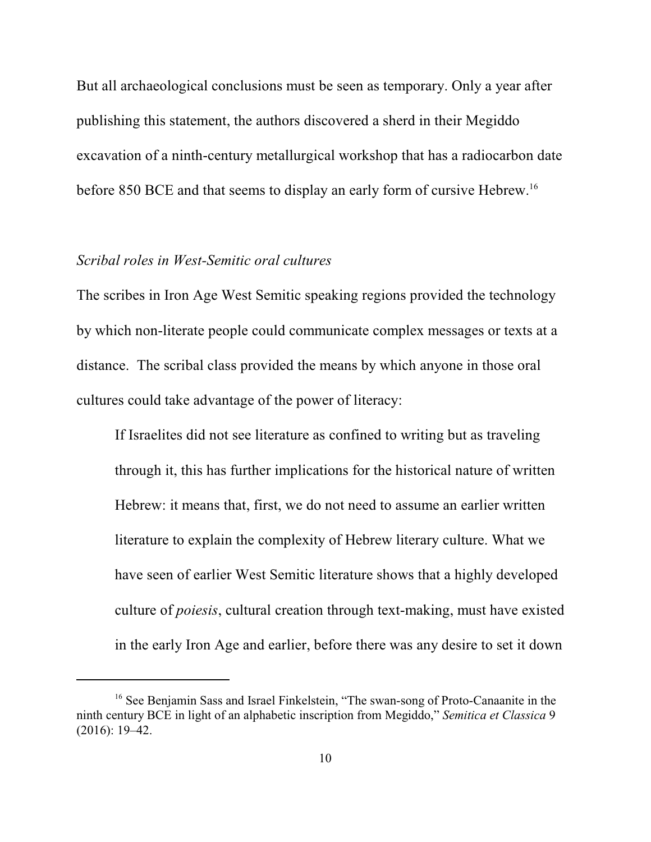But all archaeological conclusions must be seen as temporary. Only a year after publishing this statement, the authors discovered a sherd in their Megiddo excavation of a ninth-century metallurgical workshop that has a radiocarbon date before 850 BCE and that seems to display an early form of cursive Hebrew.<sup>16</sup>

## *Scribal roles in West-Semitic oral cultures*

The scribes in Iron Age West Semitic speaking regions provided the technology by which non-literate people could communicate complex messages or texts at a distance. The scribal class provided the means by which anyone in those oral cultures could take advantage of the power of literacy:

If Israelites did not see literature as confined to writing but as traveling through it, this has further implications for the historical nature of written Hebrew: it means that, first, we do not need to assume an earlier written literature to explain the complexity of Hebrew literary culture. What we have seen of earlier West Semitic literature shows that a highly developed culture of *poiesis*, cultural creation through text-making, must have existed in the early Iron Age and earlier, before there was any desire to set it down

<sup>&</sup>lt;sup>16</sup> See Benjamin Sass and Israel Finkelstein, "The swan-song of Proto-Canaanite in the ninth century BCE in light of an alphabetic inscription from Megiddo," *Semitica et Classica* 9 (2016): 19–42.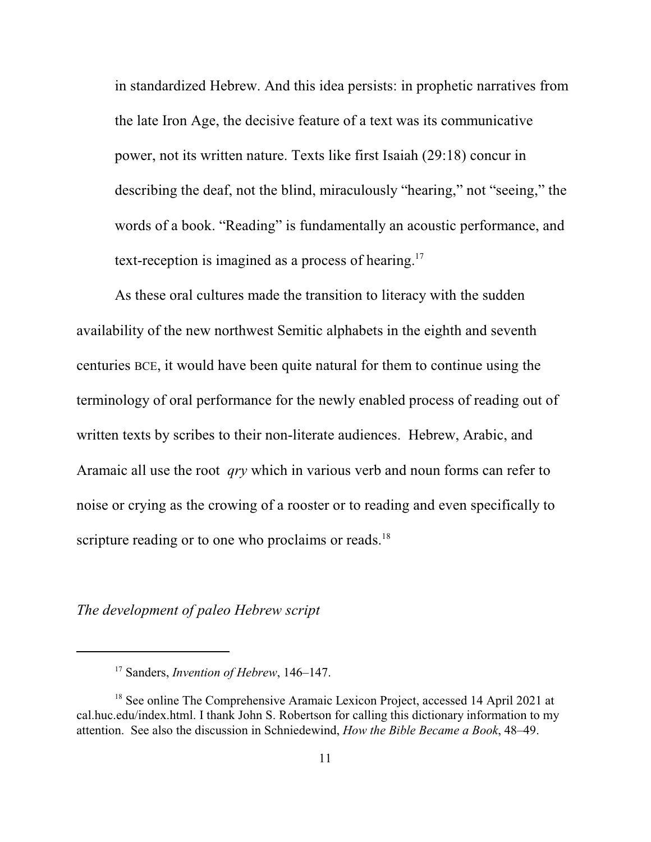in standardized Hebrew. And this idea persists: in prophetic narratives from the late Iron Age, the decisive feature of a text was its communicative power, not its written nature. Texts like first Isaiah (29:18) concur in describing the deaf, not the blind, miraculously "hearing," not "seeing," the words of a book. "Reading" is fundamentally an acoustic performance, and text-reception is imagined as a process of hearing.<sup>17</sup>

As these oral cultures made the transition to literacy with the sudden availability of the new northwest Semitic alphabets in the eighth and seventh centuries BCE, it would have been quite natural for them to continue using the terminology of oral performance for the newly enabled process of reading out of written texts by scribes to their non-literate audiences. Hebrew, Arabic, and Aramaic all use the root *qry* which in various verb and noun forms can refer to noise or crying as the crowing of a rooster or to reading and even specifically to scripture reading or to one who proclaims or reads.<sup>18</sup>

*The development of paleo Hebrew script*

<sup>17</sup> Sanders, *Invention of Hebrew*, 146–147.

<sup>&</sup>lt;sup>18</sup> See online The Comprehensive Aramaic Lexicon Project, accessed 14 April 2021 at cal.huc.edu/index.html. I thank John S. Robertson for calling this dictionary information to my attention. See also the discussion in Schniedewind, *How the Bible Became a Book*, 48–49.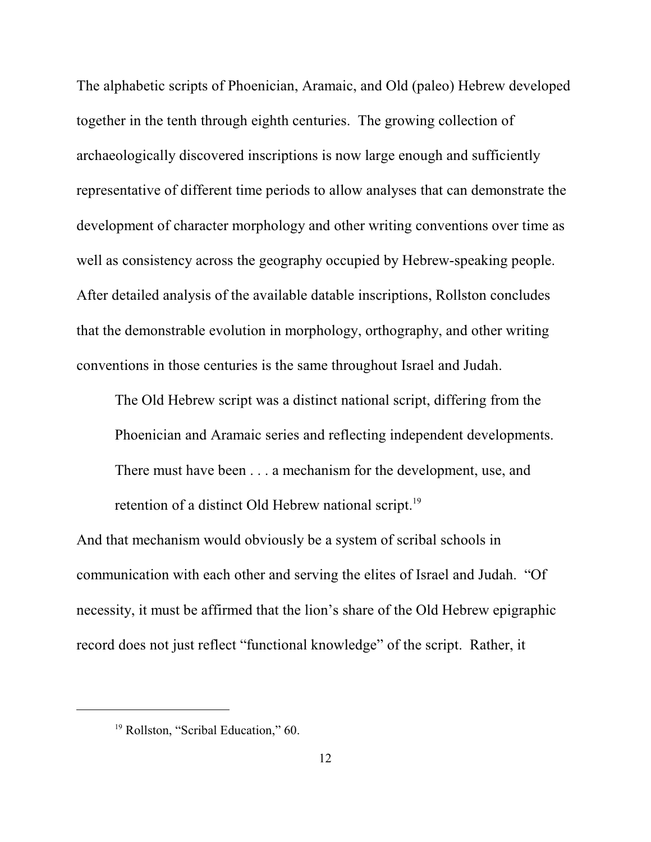The alphabetic scripts of Phoenician, Aramaic, and Old (paleo) Hebrew developed together in the tenth through eighth centuries. The growing collection of archaeologically discovered inscriptions is now large enough and sufficiently representative of different time periods to allow analyses that can demonstrate the development of character morphology and other writing conventions over time as well as consistency across the geography occupied by Hebrew-speaking people. After detailed analysis of the available datable inscriptions, Rollston concludes that the demonstrable evolution in morphology, orthography, and other writing conventions in those centuries is the same throughout Israel and Judah.

The Old Hebrew script was a distinct national script, differing from the Phoenician and Aramaic series and reflecting independent developments. There must have been . . . a mechanism for the development, use, and retention of a distinct Old Hebrew national script.<sup>19</sup>

And that mechanism would obviously be a system of scribal schools in communication with each other and serving the elites of Israel and Judah. "Of necessity, it must be affirmed that the lion's share of the Old Hebrew epigraphic record does not just reflect "functional knowledge" of the script. Rather, it

<sup>&</sup>lt;sup>19</sup> Rollston, "Scribal Education," 60.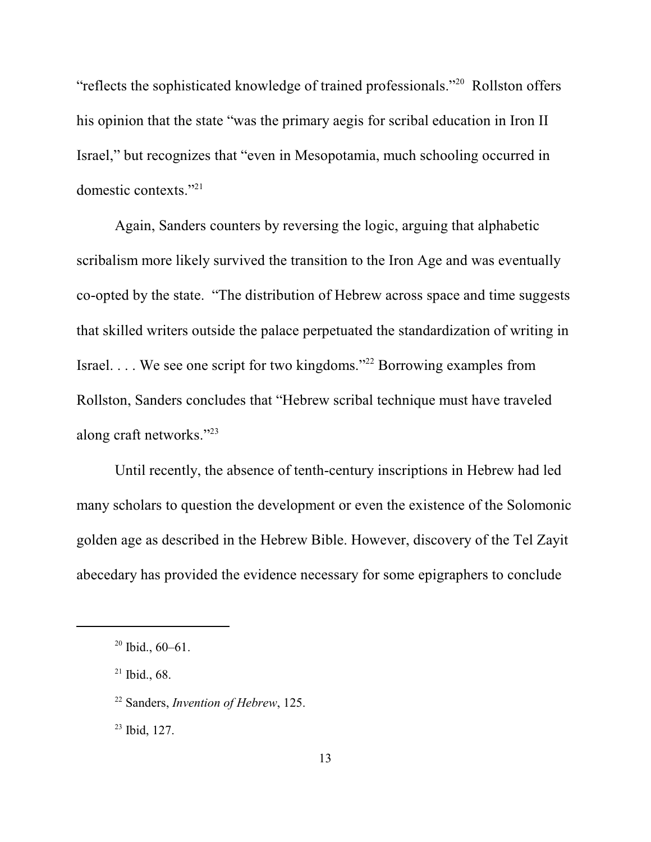"reflects the sophisticated knowledge of trained professionals."<sup>20</sup> Rollston offers his opinion that the state "was the primary aegis for scribal education in Iron II Israel," but recognizes that "even in Mesopotamia, much schooling occurred in domestic contexts."<sup>21</sup>

Again, Sanders counters by reversing the logic, arguing that alphabetic scribalism more likely survived the transition to the Iron Age and was eventually co-opted by the state. "The distribution of Hebrew across space and time suggests that skilled writers outside the palace perpetuated the standardization of writing in Israel.... We see one script for two kingdoms."<sup>22</sup> Borrowing examples from Rollston, Sanders concludes that "Hebrew scribal technique must have traveled along craft networks."<sup>23</sup>

Until recently, the absence of tenth-century inscriptions in Hebrew had led many scholars to question the development or even the existence of the Solomonic golden age as described in the Hebrew Bible. However, discovery of the Tel Zayit abecedary has provided the evidence necessary for some epigraphers to conclude

23 Ibid, 127.

 $20$  Ibid., 60–61.

 $21$  Ibid., 68.

<sup>22</sup> Sanders, *Invention of Hebrew*, 125.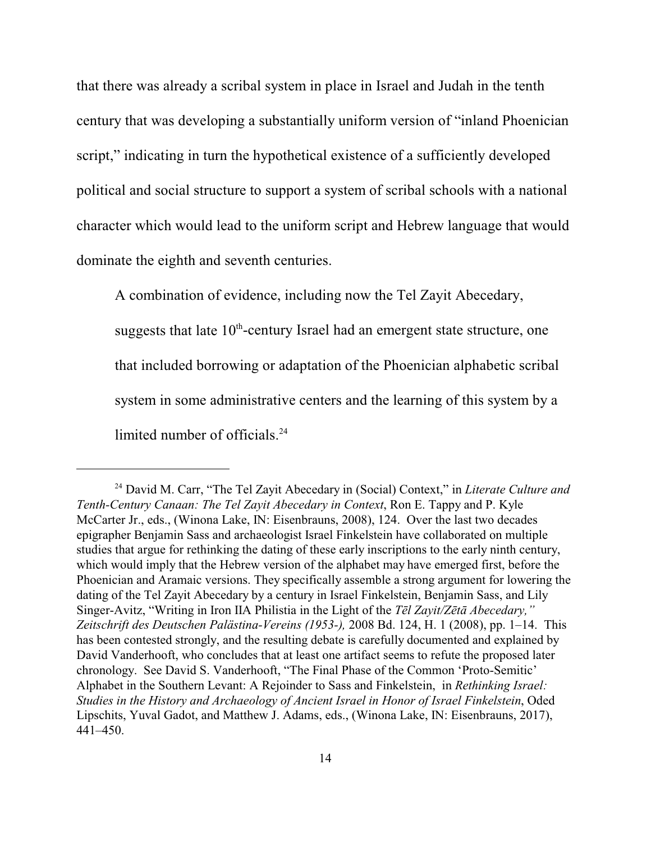that there was already a scribal system in place in Israel and Judah in the tenth century that was developing a substantially uniform version of "inland Phoenician script," indicating in turn the hypothetical existence of a sufficiently developed political and social structure to support a system of scribal schools with a national character which would lead to the uniform script and Hebrew language that would dominate the eighth and seventh centuries.

A combination of evidence, including now the Tel Zayit Abecedary, suggests that late  $10<sup>th</sup>$ -century Israel had an emergent state structure, one that included borrowing or adaptation of the Phoenician alphabetic scribal system in some administrative centers and the learning of this system by a limited number of officials. 24

<sup>24</sup> David M. Carr, "The Tel Zayit Abecedary in (Social) Context," in *Literate Culture and Tenth-Century Canaan: The Tel Zayit Abecedary in Context*, Ron E. Tappy and P. Kyle McCarter Jr., eds., (Winona Lake, IN: Eisenbrauns, 2008), 124. Over the last two decades epigrapher Benjamin Sass and archaeologist Israel Finkelstein have collaborated on multiple studies that argue for rethinking the dating of these early inscriptions to the early ninth century, which would imply that the Hebrew version of the alphabet may have emerged first, before the Phoenician and Aramaic versions. They specifically assemble a strong argument for lowering the dating of the Tel Zayit Abecedary by a century in Israel Finkelstein, Benjamin Sass, and Lily Singer-Avitz, "Writing in Iron IIA Philistia in the Light of the *Tçl Zayit/Zçtâ Abecedary," Zeitschrift des Deutschen Palästina-Vereins (1953-),* 2008 Bd. 124, H. 1 (2008), pp. 1–14. This has been contested strongly, and the resulting debate is carefully documented and explained by David Vanderhooft, who concludes that at least one artifact seems to refute the proposed later chronology. See David S. Vanderhooft, "The Final Phase of the Common 'Proto-Semitic' Alphabet in the Southern Levant: A Rejoinder to Sass and Finkelstein, in *Rethinking Israel: Studies in the History and Archaeology of Ancient Israel in Honor of Israel Finkelstein*, Oded Lipschits, Yuval Gadot, and Matthew J. Adams, eds., (Winona Lake, IN: Eisenbrauns, 2017), 441–450.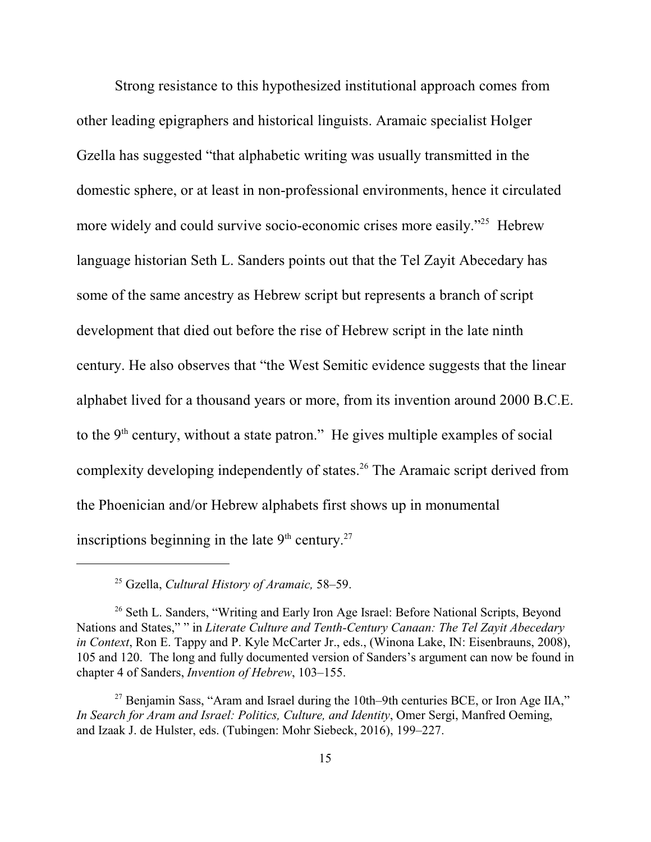Strong resistance to this hypothesized institutional approach comes from other leading epigraphers and historical linguists. Aramaic specialist Holger Gzella has suggested "that alphabetic writing was usually transmitted in the domestic sphere, or at least in non-professional environments, hence it circulated more widely and could survive socio-economic crises more easily."<sup>25</sup> Hebrew language historian Seth L. Sanders points out that the Tel Zayit Abecedary has some of the same ancestry as Hebrew script but represents a branch of script development that died out before the rise of Hebrew script in the late ninth century. He also observes that "the West Semitic evidence suggests that the linear alphabet lived for a thousand years or more, from its invention around 2000 B.C.E. to the  $9<sup>th</sup>$  century, without a state patron." He gives multiple examples of social complexity developing independently of states. 26 The Aramaic script derived from the Phoenician and/or Hebrew alphabets first shows up in monumental inscriptions beginning in the late  $9<sup>th</sup>$  century.<sup>27</sup>

<sup>25</sup> Gzella, *Cultural History of Aramaic,* 58–59.

<sup>&</sup>lt;sup>26</sup> Seth L. Sanders, "Writing and Early Iron Age Israel: Before National Scripts, Beyond Nations and States," " in *Literate Culture and Tenth-Century Canaan: The Tel Zayit Abecedary in Context*, Ron E. Tappy and P. Kyle McCarter Jr., eds., (Winona Lake, IN: Eisenbrauns, 2008), 105 and 120. The long and fully documented version of Sanders's argument can now be found in chapter 4 of Sanders, *Invention of Hebrew*, 103–155.

<sup>&</sup>lt;sup>27</sup> Benjamin Sass, "Aram and Israel during the 10th–9th centuries BCE, or Iron Age IIA," *In Search for Aram and Israel: Politics, Culture, and Identity*, Omer Sergi, Manfred Oeming, and Izaak J. de Hulster, eds. (Tubingen: Mohr Siebeck, 2016), 199–227.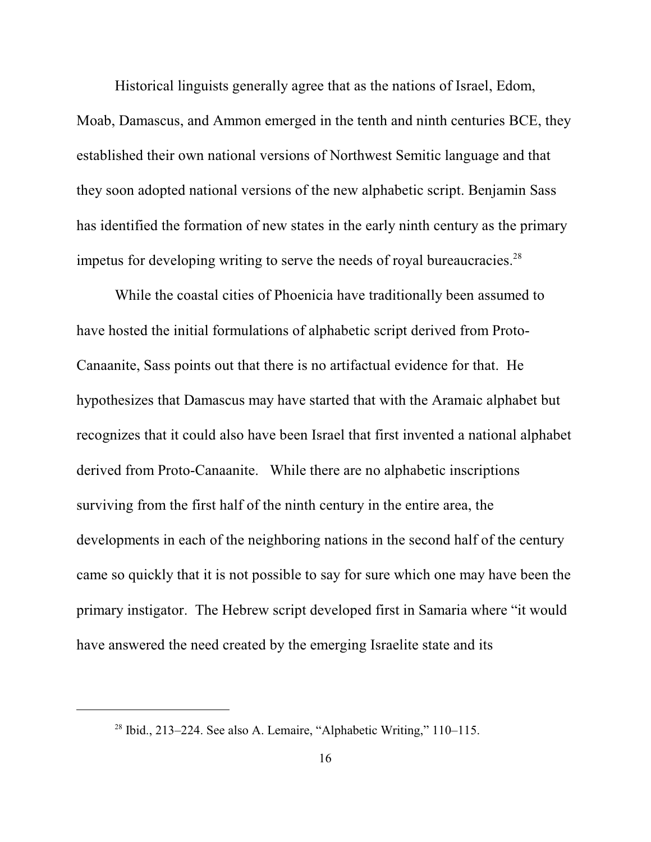Historical linguists generally agree that as the nations of Israel, Edom, Moab, Damascus, and Ammon emerged in the tenth and ninth centuries BCE, they established their own national versions of Northwest Semitic language and that they soon adopted national versions of the new alphabetic script. Benjamin Sass has identified the formation of new states in the early ninth century as the primary impetus for developing writing to serve the needs of royal bureaucracies.<sup>28</sup>

While the coastal cities of Phoenicia have traditionally been assumed to have hosted the initial formulations of alphabetic script derived from Proto-Canaanite, Sass points out that there is no artifactual evidence for that. He hypothesizes that Damascus may have started that with the Aramaic alphabet but recognizes that it could also have been Israel that first invented a national alphabet derived from Proto-Canaanite. While there are no alphabetic inscriptions surviving from the first half of the ninth century in the entire area, the developments in each of the neighboring nations in the second half of the century came so quickly that it is not possible to say for sure which one may have been the primary instigator. The Hebrew script developed first in Samaria where "it would have answered the need created by the emerging Israelite state and its

<sup>&</sup>lt;sup>28</sup> Ibid., 213–224. See also A. Lemaire, "Alphabetic Writing," 110–115.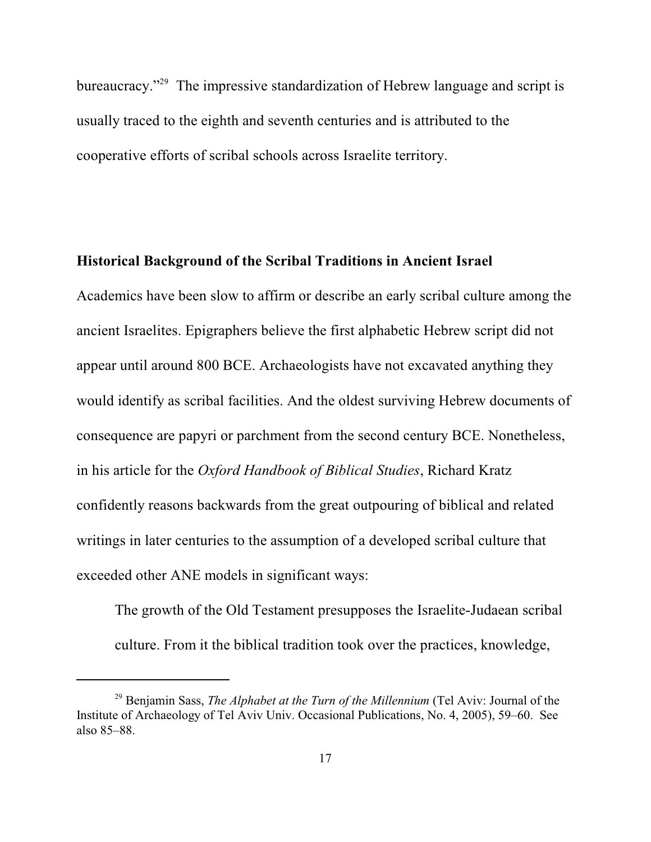bureaucracy."<sup>29</sup> The impressive standardization of Hebrew language and script is usually traced to the eighth and seventh centuries and is attributed to the cooperative efforts of scribal schools across Israelite territory.

## **Historical Background of the Scribal Traditions in Ancient Israel**

Academics have been slow to affirm or describe an early scribal culture among the ancient Israelites. Epigraphers believe the first alphabetic Hebrew script did not appear until around 800 BCE. Archaeologists have not excavated anything they would identify as scribal facilities. And the oldest surviving Hebrew documents of consequence are papyri or parchment from the second century BCE. Nonetheless, in his article for the *Oxford Handbook of Biblical Studies*, Richard Kratz confidently reasons backwards from the great outpouring of biblical and related writings in later centuries to the assumption of a developed scribal culture that exceeded other ANE models in significant ways:

The growth of the Old Testament presupposes the Israelite-Judaean scribal culture. From it the biblical tradition took over the practices, knowledge,

<sup>29</sup> Benjamin Sass, *The Alphabet at the Turn of the Millennium* (Tel Aviv: Journal of the Institute of Archaeology of Tel Aviv Univ. Occasional Publications, No. 4, 2005), 59–60. See also 85–88.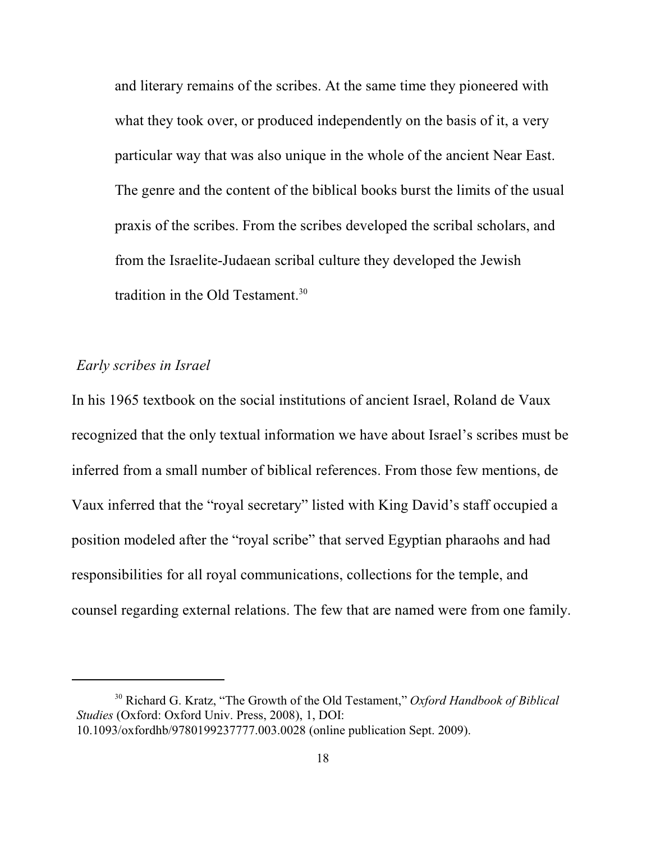and literary remains of the scribes. At the same time they pioneered with what they took over, or produced independently on the basis of it, a very particular way that was also unique in the whole of the ancient Near East. The genre and the content of the biblical books burst the limits of the usual praxis of the scribes. From the scribes developed the scribal scholars, and from the Israelite-Judaean scribal culture they developed the Jewish tradition in the Old Testament. 30

#### *Early scribes in Israel*

In his 1965 textbook on the social institutions of ancient Israel, Roland de Vaux recognized that the only textual information we have about Israel's scribes must be inferred from a small number of biblical references. From those few mentions, de Vaux inferred that the "royal secretary" listed with King David's staff occupied a position modeled after the "royal scribe" that served Egyptian pharaohs and had responsibilities for all royal communications, collections for the temple, and counsel regarding external relations. The few that are named were from one family.

<sup>30</sup> Richard G. Kratz, "The Growth of the Old Testament," *Oxford Handbook of Biblical Studies* (Oxford: Oxford Univ. Press, 2008), 1, DOI: 10.1093/oxfordhb/9780199237777.003.0028 (online publication Sept. 2009).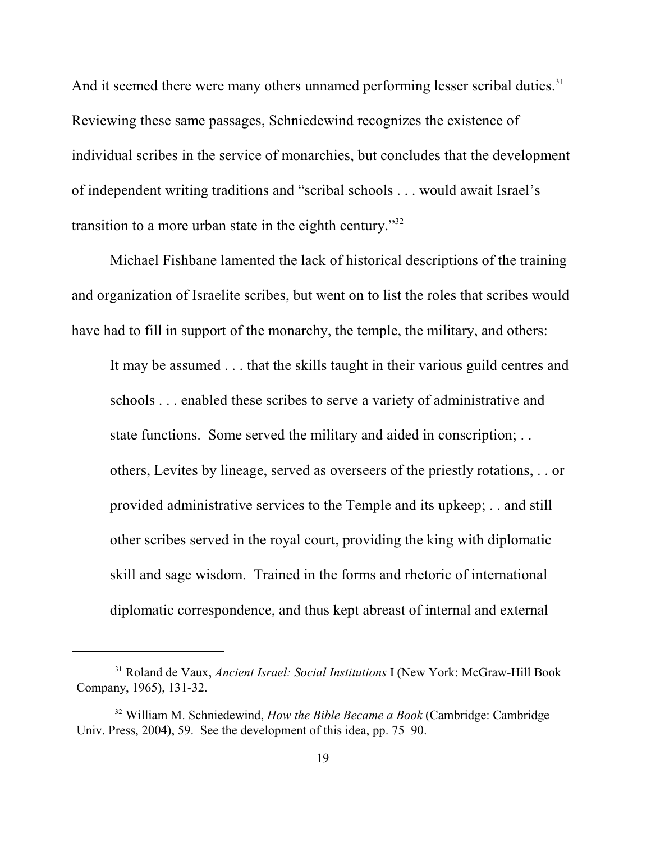And it seemed there were many others unnamed performing lesser scribal duties.<sup>31</sup> Reviewing these same passages, Schniedewind recognizes the existence of individual scribes in the service of monarchies, but concludes that the development of independent writing traditions and "scribal schools . . . would await Israel's transition to a more urban state in the eighth century."<sup>32</sup>

Michael Fishbane lamented the lack of historical descriptions of the training and organization of Israelite scribes, but went on to list the roles that scribes would have had to fill in support of the monarchy, the temple, the military, and others:

It may be assumed . . . that the skills taught in their various guild centres and schools . . . enabled these scribes to serve a variety of administrative and state functions. Some served the military and aided in conscription; . . others, Levites by lineage, served as overseers of the priestly rotations, . . or provided administrative services to the Temple and its upkeep; . . and still other scribes served in the royal court, providing the king with diplomatic skill and sage wisdom. Trained in the forms and rhetoric of international diplomatic correspondence, and thus kept abreast of internal and external

<sup>31</sup> Roland de Vaux, *Ancient Israel: Social Institutions* I (New York: McGraw-Hill Book Company, 1965), 131-32.

<sup>32</sup> William M. Schniedewind, *How the Bible Became a Book* (Cambridge: Cambridge Univ. Press, 2004), 59. See the development of this idea, pp. 75–90.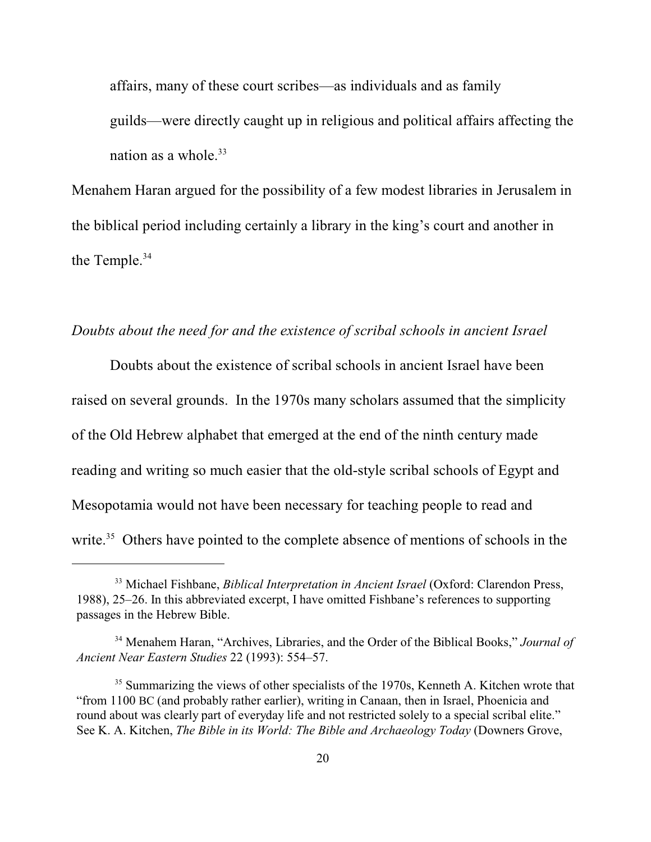affairs, many of these court scribes—as individuals and as family guilds—were directly caught up in religious and political affairs affecting the nation as a whole. $33$ 

Menahem Haran argued for the possibility of a few modest libraries in Jerusalem in the biblical period including certainly a library in the king's court and another in the Temple.<sup>34</sup>

## *Doubts about the need for and the existence of scribal schools in ancient Israel*

Doubts about the existence of scribal schools in ancient Israel have been raised on several grounds. In the 1970s many scholars assumed that the simplicity of the Old Hebrew alphabet that emerged at the end of the ninth century made reading and writing so much easier that the old-style scribal schools of Egypt and Mesopotamia would not have been necessary for teaching people to read and write.<sup>35</sup> Others have pointed to the complete absence of mentions of schools in the

<sup>33</sup> Michael Fishbane, *Biblical Interpretation in Ancient Israel* (Oxford: Clarendon Press, 1988), 25–26. In this abbreviated excerpt, I have omitted Fishbane's references to supporting passages in the Hebrew Bible.

<sup>34</sup> Menahem Haran, "Archives, Libraries, and the Order of the Biblical Books," *Journal of Ancient Near Eastern Studies* 22 (1993): 554–57.

<sup>&</sup>lt;sup>35</sup> Summarizing the views of other specialists of the 1970s, Kenneth A. Kitchen wrote that "from 1100 BC (and probably rather earlier), writing in Canaan, then in Israel, Phoenicia and round about was clearly part of everyday life and not restricted solely to a special scribal elite." See K. A. Kitchen, *The Bible in its World: The Bible and Archaeology Today* (Downers Grove,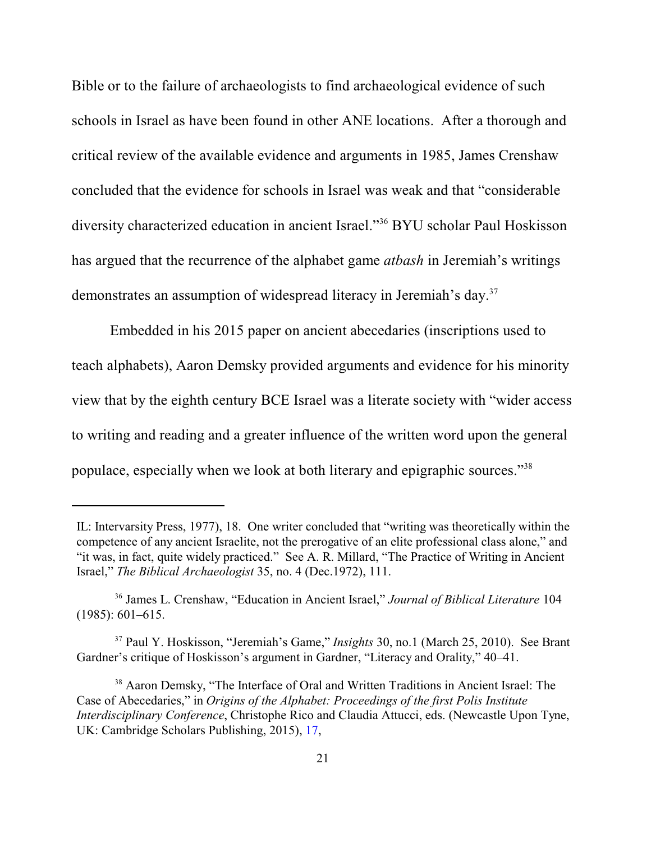Bible or to the failure of archaeologists to find archaeological evidence of such schools in Israel as have been found in other ANE locations. After a thorough and critical review of the available evidence and arguments in 1985, James Crenshaw concluded that the evidence for schools in Israel was weak and that "considerable diversity characterized education in ancient Israel."<sup>36</sup> BYU scholar Paul Hoskisson has argued that the recurrence of the alphabet game *atbash* in Jeremiah's writings demonstrates an assumption of widespread literacy in Jeremiah's day.<sup>37</sup>

Embedded in his 2015 paper on ancient abecedaries (inscriptions used to teach alphabets), Aaron Demsky provided arguments and evidence for his minority view that by the eighth century BCE Israel was a literate society with "wider access to writing and reading and a greater influence of the written word upon the general populace, especially when we look at both literary and epigraphic sources." 38

IL: Intervarsity Press, 1977), 18. One writer concluded that "writing was theoretically within the competence of any ancient Israelite, not the prerogative of an elite professional class alone," and "it was, in fact, quite widely practiced." See A. R. Millard, "The Practice of Writing in Ancient Israel," *The Biblical Archaeologist* 35, no. 4 (Dec.1972), 111.

<sup>36</sup> James L. Crenshaw, "Education in Ancient Israel," *Journal of Biblical Literature* 104 (1985): 601–615.

<sup>37</sup> Paul Y. Hoskisson, "Jeremiah's Game," *Insights* 30, no.1 (March 25, 2010). See Brant Gardner's critique of Hoskisson's argument in Gardner, "Literacy and Orality," 40–41.

<sup>&</sup>lt;sup>38</sup> Aaron Demsky, "The Interface of Oral and Written Traditions in Ancient Israel: The Case of Abecedaries," in *Origins of the Alphabet: Proceedings of the first Polis Institute Interdisciplinary Conference*, Christophe Rico and Claudia Attucci, eds. (Newcastle Upon Tyne, UK: Cambridge Scholars Publishing, 2015), 17,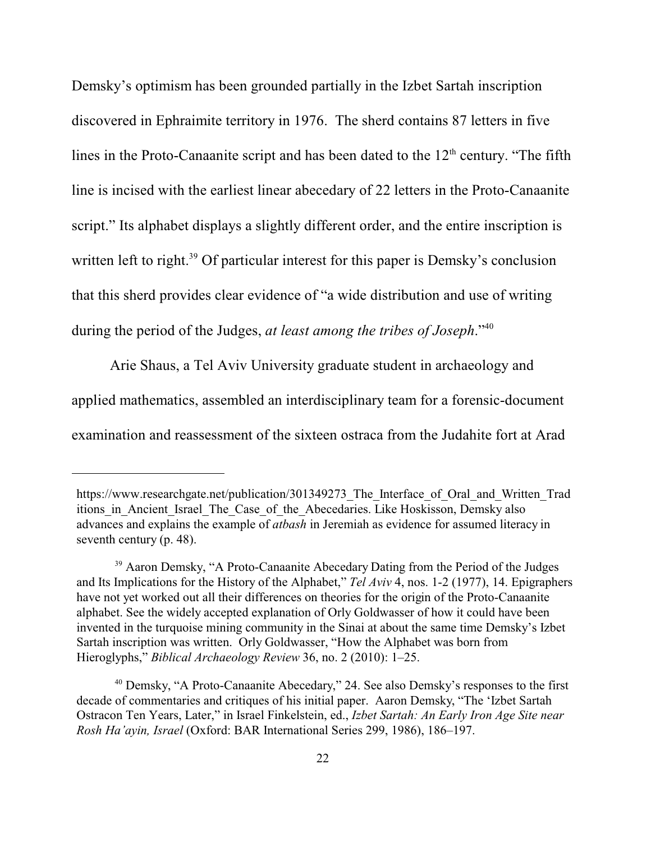Demsky's optimism has been grounded partially in the Izbet Sartah inscription discovered in Ephraimite territory in 1976. The sherd contains 87 letters in five lines in the Proto-Canaanite script and has been dated to the  $12<sup>th</sup>$  century. "The fifth line is incised with the earliest linear abecedary of 22 letters in the Proto-Canaanite script." Its alphabet displays a slightly different order, and the entire inscription is written left to right.<sup>39</sup> Of particular interest for this paper is Demsky's conclusion that this sherd provides clear evidence of "a wide distribution and use of writing during the period of the Judges, *at least among the tribes of Joseph*."<sup>40</sup>

Arie Shaus, a Tel Aviv University graduate student in archaeology and applied mathematics, assembled an interdisciplinary team for a forensic-document examination and reassessment of the sixteen ostraca from the Judahite fort at Arad

https://www.researchgate.net/publication/301349273 The Interface of Oral and Written Trad itions in Ancient Israel The Case of the Abecedaries. Like Hoskisson, Demsky also advances and explains the example of *atbash* in Jeremiah as evidence for assumed literacy in seventh century (p. 48).

<sup>&</sup>lt;sup>39</sup> Aaron Demsky, "A Proto-Canaanite Abecedary Dating from the Period of the Judges and Its Implications for the History of the Alphabet," *Tel Aviv* 4, nos. 1-2 (1977), 14. Epigraphers have not yet worked out all their differences on theories for the origin of the Proto-Canaanite alphabet. See the widely accepted explanation of Orly Goldwasser of how it could have been invented in the turquoise mining community in the Sinai at about the same time Demsky's Izbet Sartah inscription was written. Orly Goldwasser, "How the Alphabet was born from Hieroglyphs," *Biblical Archaeology Review* 36, no. 2 (2010): 1–25.

<sup>&</sup>lt;sup>40</sup> Demsky, "A Proto-Canaanite Abecedary," 24. See also Demsky's responses to the first decade of commentaries and critiques of his initial paper. Aaron Demsky, "The 'Izbet Sartah Ostracon Ten Years, Later," in Israel Finkelstein, ed., *Izbet Sartah: An Early Iron Age Site near Rosh Ha'ayin, Israel* (Oxford: BAR International Series 299, 1986), 186–197.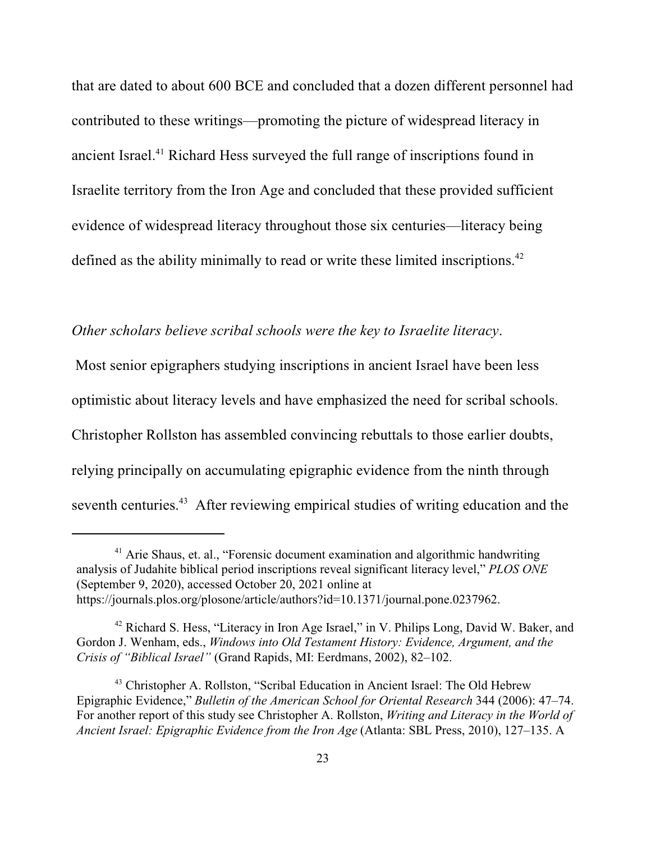that are dated to about 600 BCE and concluded that a dozen different personnel had contributed to these writings—promoting the picture of widespread literacy in ancient Israel. 41 Richard Hess surveyed the full range of inscriptions found in Israelite territory from the Iron Age and concluded that these provided sufficient evidence of widespread literacy throughout those six centuries—literacy being defined as the ability minimally to read or write these limited inscriptions. 42

#### *Other scholars believe scribal schools were the key to Israelite literacy*.

 Most senior epigraphers studying inscriptions in ancient Israel have been less optimistic about literacy levels and have emphasized the need for scribal schools. Christopher Rollston has assembled convincing rebuttals to those earlier doubts, relying principally on accumulating epigraphic evidence from the ninth through seventh centuries.<sup>43</sup> After reviewing empirical studies of writing education and the

<sup>&</sup>lt;sup>41</sup> Arie Shaus, et. al., "Forensic document examination and algorithmic handwriting analysis of Judahite biblical period inscriptions reveal significant literacy level," *PLOS ONE* (September 9, 2020), accessed October 20, 2021 online at https://journals.plos.org/plosone/article/authors?id=10.1371/journal.pone.0237962.

<sup>&</sup>lt;sup>42</sup> Richard S. Hess, "Literacy in Iron Age Israel," in V. Philips Long, David W. Baker, and Gordon J. Wenham, eds., *Windows into Old Testament History: Evidence, Argument, and the Crisis of "Biblical Israel"* (Grand Rapids, MI: Eerdmans, 2002), 82–102.

<sup>&</sup>lt;sup>43</sup> Christopher A. Rollston, "Scribal Education in Ancient Israel: The Old Hebrew Epigraphic Evidence," *Bulletin of the American School for Oriental Research* 344 (2006): 47–74. For another report of this study see Christopher A. Rollston, *Writing and Literacy in the World of Ancient Israel: Epigraphic Evidence from the Iron Age* (Atlanta: SBL Press, 2010), 127–135. A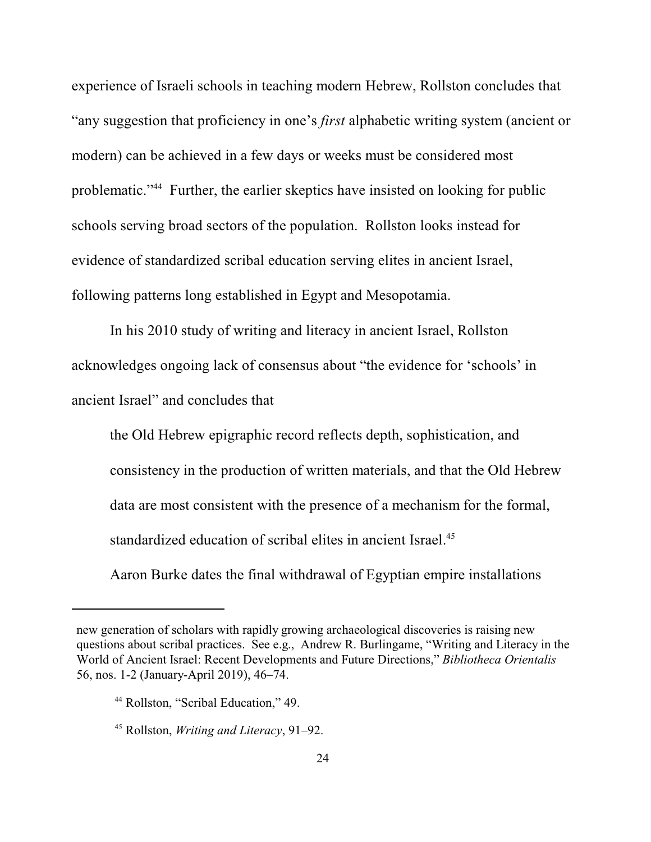experience of Israeli schools in teaching modern Hebrew, Rollston concludes that "any suggestion that proficiency in one's *first* alphabetic writing system (ancient or modern) can be achieved in a few days or weeks must be considered most problematic."<sup>44</sup> Further, the earlier skeptics have insisted on looking for public schools serving broad sectors of the population. Rollston looks instead for evidence of standardized scribal education serving elites in ancient Israel, following patterns long established in Egypt and Mesopotamia.

In his 2010 study of writing and literacy in ancient Israel, Rollston acknowledges ongoing lack of consensus about "the evidence for 'schools' in ancient Israel" and concludes that

the Old Hebrew epigraphic record reflects depth, sophistication, and consistency in the production of written materials, and that the Old Hebrew data are most consistent with the presence of a mechanism for the formal, standardized education of scribal elites in ancient Israel.<sup>45</sup>

Aaron Burke dates the final withdrawal of Egyptian empire installations

new generation of scholars with rapidly growing archaeological discoveries is raising new questions about scribal practices. See e.g., Andrew R. Burlingame, "Writing and Literacy in the World of Ancient Israel: Recent Developments and Future Directions," *Bibliotheca Orientalis* 56, nos. 1-2 (January-April 2019), 46–74.

<sup>44</sup> Rollston, "Scribal Education," 49.

<sup>45</sup> Rollston, *Writing and Literacy*, 91–92.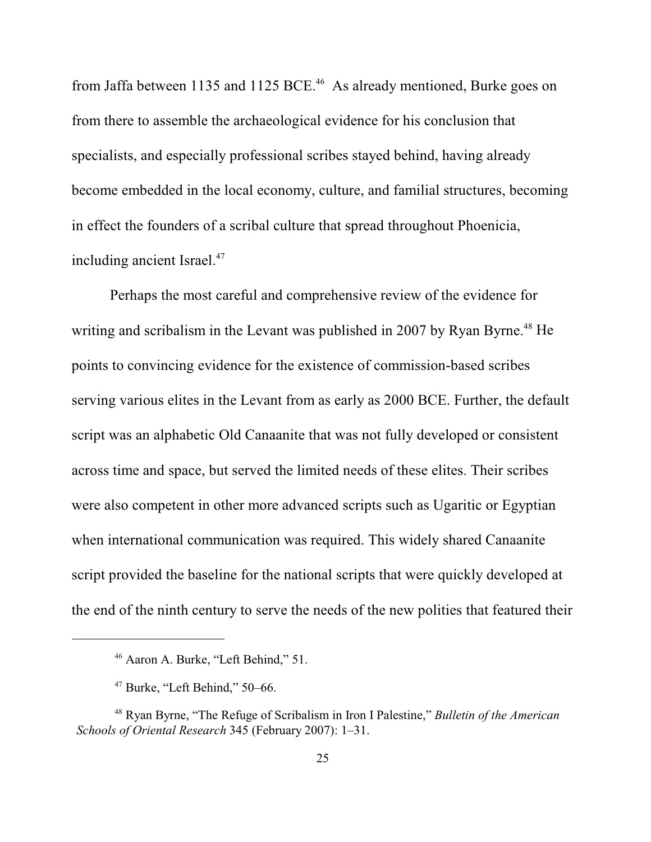from Jaffa between 1135 and 1125 BCE.<sup>46</sup> As already mentioned, Burke goes on from there to assemble the archaeological evidence for his conclusion that specialists, and especially professional scribes stayed behind, having already become embedded in the local economy, culture, and familial structures, becoming in effect the founders of a scribal culture that spread throughout Phoenicia, including ancient Israel. 47

Perhaps the most careful and comprehensive review of the evidence for writing and scribalism in the Levant was published in 2007 by Ryan Byrne.<sup>48</sup> He points to convincing evidence for the existence of commission-based scribes serving various elites in the Levant from as early as 2000 BCE. Further, the default script was an alphabetic Old Canaanite that was not fully developed or consistent across time and space, but served the limited needs of these elites. Their scribes were also competent in other more advanced scripts such as Ugaritic or Egyptian when international communication was required. This widely shared Canaanite script provided the baseline for the national scripts that were quickly developed at the end of the ninth century to serve the needs of the new polities that featured their

<sup>46</sup> Aaron A. Burke, "Left Behind," 51.

 $47$  Burke, "Left Behind," 50–66.

<sup>48</sup> Ryan Byrne, "The Refuge of Scribalism in Iron I Palestine," *Bulletin of the American Schools of Oriental Research* 345 (February 2007): 1–31.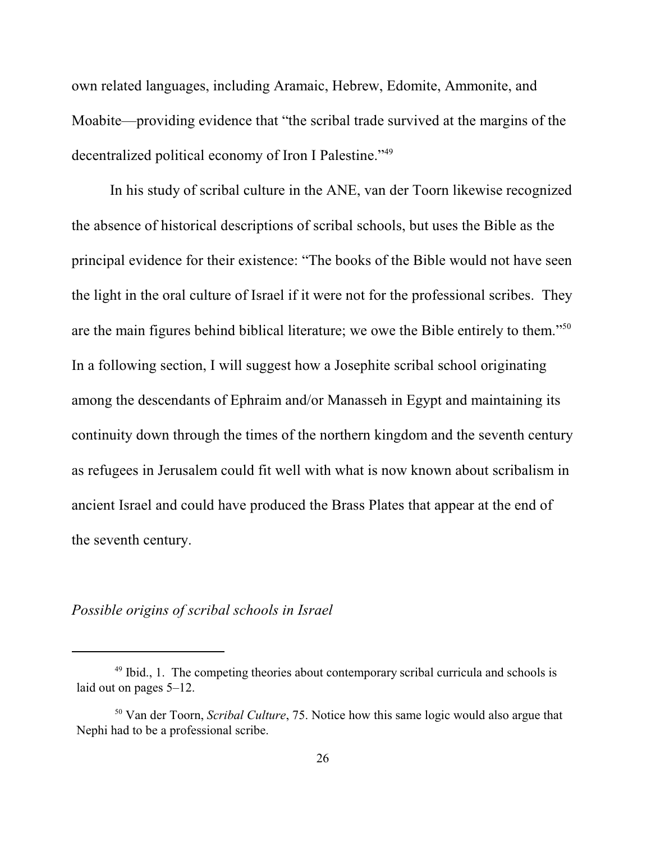own related languages, including Aramaic, Hebrew, Edomite, Ammonite, and Moabite—providing evidence that "the scribal trade survived at the margins of the decentralized political economy of Iron I Palestine."<sup>49</sup>

In his study of scribal culture in the ANE, van der Toorn likewise recognized the absence of historical descriptions of scribal schools, but uses the Bible as the principal evidence for their existence: "The books of the Bible would not have seen the light in the oral culture of Israel if it were not for the professional scribes. They are the main figures behind biblical literature; we owe the Bible entirely to them."<sup>50</sup> In a following section, I will suggest how a Josephite scribal school originating among the descendants of Ephraim and/or Manasseh in Egypt and maintaining its continuity down through the times of the northern kingdom and the seventh century as refugees in Jerusalem could fit well with what is now known about scribalism in ancient Israel and could have produced the Brass Plates that appear at the end of the seventh century.

# *Possible origins of scribal schools in Israel*

<sup>&</sup>lt;sup>49</sup> Ibid., 1. The competing theories about contemporary scribal curricula and schools is laid out on pages 5–12.

<sup>50</sup> Van der Toorn, *Scribal Culture*, 75. Notice how this same logic would also argue that Nephi had to be a professional scribe.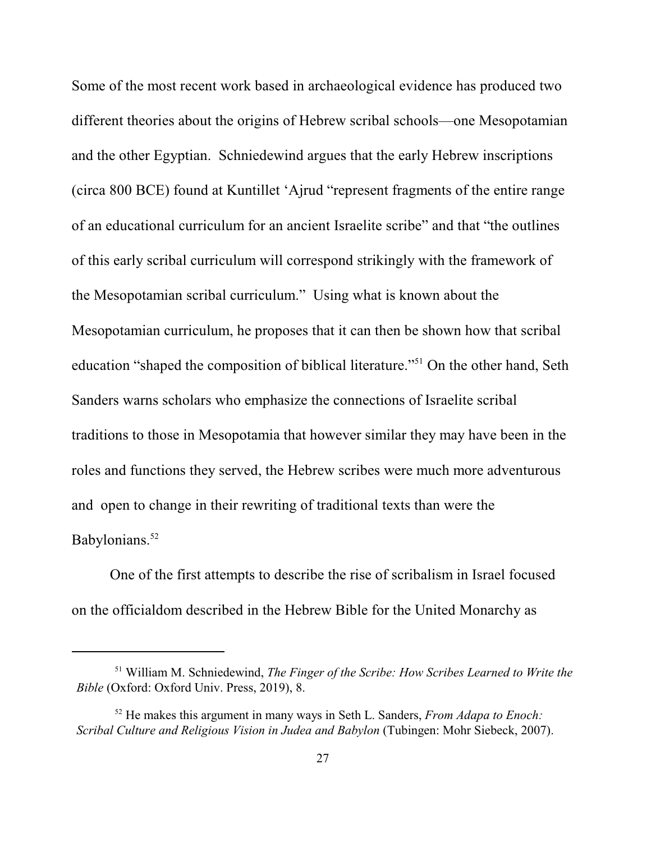Some of the most recent work based in archaeological evidence has produced two different theories about the origins of Hebrew scribal schools—one Mesopotamian and the other Egyptian. Schniedewind argues that the early Hebrew inscriptions (circa 800 BCE) found at Kuntillet 'Ajrud "represent fragments of the entire range of an educational curriculum for an ancient Israelite scribe" and that "the outlines of this early scribal curriculum will correspond strikingly with the framework of the Mesopotamian scribal curriculum." Using what is known about the Mesopotamian curriculum, he proposes that it can then be shown how that scribal education "shaped the composition of biblical literature."<sup>51</sup> On the other hand, Seth Sanders warns scholars who emphasize the connections of Israelite scribal traditions to those in Mesopotamia that however similar they may have been in the roles and functions they served, the Hebrew scribes were much more adventurous and open to change in their rewriting of traditional texts than were the Babylonians.<sup>52</sup>

One of the first attempts to describe the rise of scribalism in Israel focused on the officialdom described in the Hebrew Bible for the United Monarchy as

<sup>51</sup> William M. Schniedewind, *The Finger of the Scribe: How Scribes Learned to Write the Bible* (Oxford: Oxford Univ. Press, 2019), 8.

<sup>52</sup> He makes this argument in many ways in Seth L. Sanders, *From Adapa to Enoch: Scribal Culture and Religious Vision in Judea and Babylon* (Tubingen: Mohr Siebeck, 2007).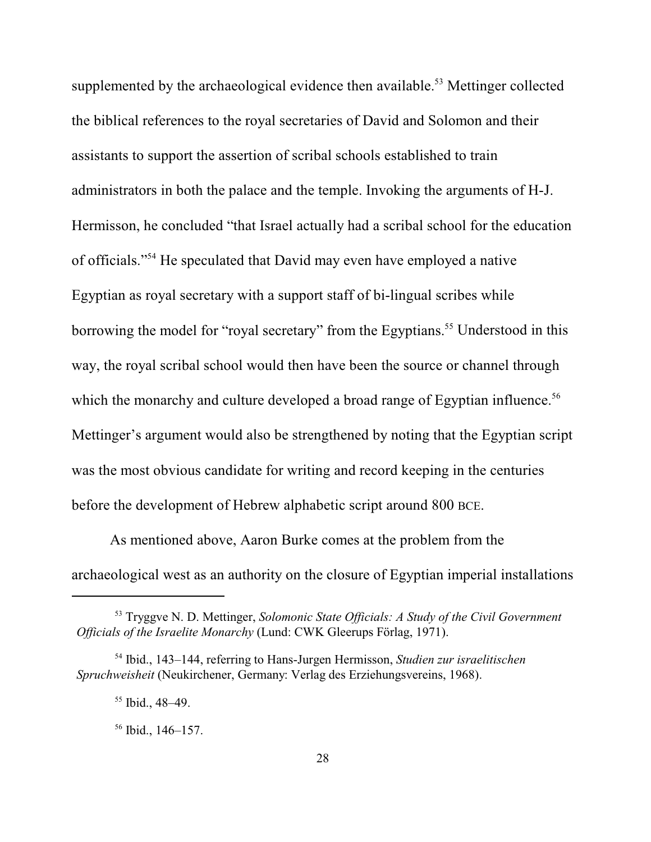supplemented by the archaeological evidence then available.<sup>53</sup> Mettinger collected the biblical references to the royal secretaries of David and Solomon and their assistants to support the assertion of scribal schools established to train administrators in both the palace and the temple. Invoking the arguments of H-J. Hermisson, he concluded "that Israel actually had a scribal school for the education of officials."<sup>54</sup> He speculated that David may even have employed a native Egyptian as royal secretary with a support staff of bi-lingual scribes while borrowing the model for "royal secretary" from the Egyptians.<sup>55</sup> Understood in this way, the royal scribal school would then have been the source or channel through which the monarchy and culture developed a broad range of Egyptian influence.<sup>56</sup> Mettinger's argument would also be strengthened by noting that the Egyptian script was the most obvious candidate for writing and record keeping in the centuries before the development of Hebrew alphabetic script around 800 BCE.

As mentioned above, Aaron Burke comes at the problem from the archaeological west as an authority on the closure of Egyptian imperial installations

<sup>53</sup> Tryggve N. D. Mettinger, *Solomonic State Officials: A Study of the Civil Government Officials of the Israelite Monarchy* (Lund: CWK Gleerups Förlag, 1971).

<sup>54</sup> Ibid., 143–144, referring to Hans-Jurgen Hermisson, *Studien zur israelitischen Spruchweisheit* (Neukirchener, Germany: Verlag des Erziehungsvereins, 1968).

<sup>55</sup> Ibid., 48–49.

<sup>56</sup> Ibid., 146–157.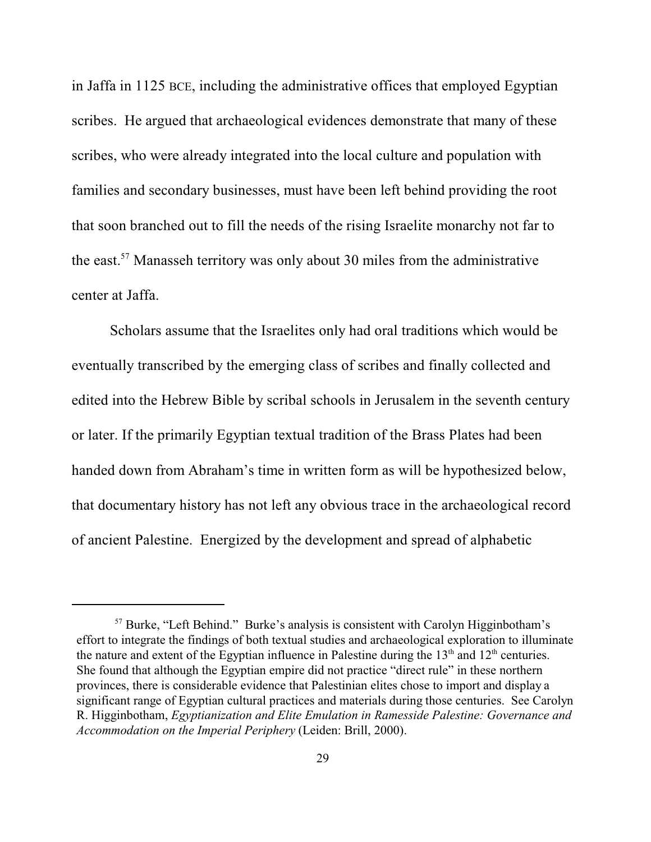in Jaffa in 1125 BCE, including the administrative offices that employed Egyptian scribes. He argued that archaeological evidences demonstrate that many of these scribes, who were already integrated into the local culture and population with families and secondary businesses, must have been left behind providing the root that soon branched out to fill the needs of the rising Israelite monarchy not far to the east. 57 Manasseh territory was only about 30 miles from the administrative center at Jaffa.

Scholars assume that the Israelites only had oral traditions which would be eventually transcribed by the emerging class of scribes and finally collected and edited into the Hebrew Bible by scribal schools in Jerusalem in the seventh century or later. If the primarily Egyptian textual tradition of the Brass Plates had been handed down from Abraham's time in written form as will be hypothesized below, that documentary history has not left any obvious trace in the archaeological record of ancient Palestine. Energized by the development and spread of alphabetic

<sup>&</sup>lt;sup>57</sup> Burke, "Left Behind." Burke's analysis is consistent with Carolyn Higginbotham's effort to integrate the findings of both textual studies and archaeological exploration to illuminate the nature and extent of the Egyptian influence in Palestine during the  $13<sup>th</sup>$  and  $12<sup>th</sup>$  centuries. She found that although the Egyptian empire did not practice "direct rule" in these northern provinces, there is considerable evidence that Palestinian elites chose to import and display a significant range of Egyptian cultural practices and materials during those centuries. See Carolyn R. Higginbotham, *Egyptianization and Elite Emulation in Ramesside Palestine: Governance and Accommodation on the Imperial Periphery* (Leiden: Brill, 2000).